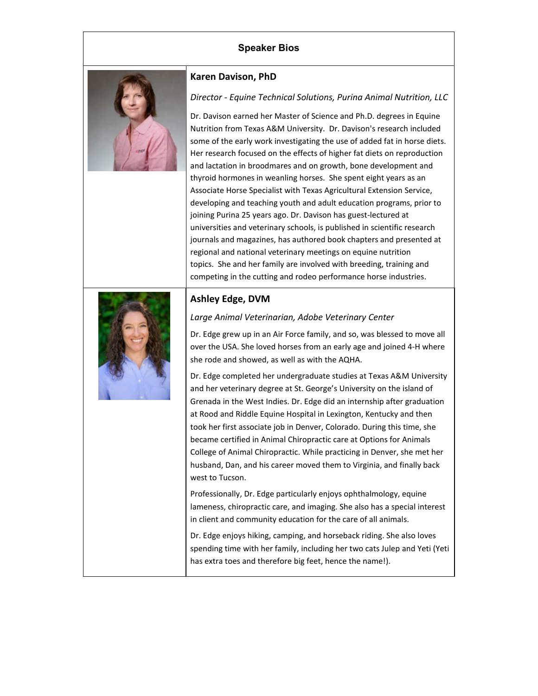## **Speaker Bios**



#### **Karen Davison, PhD**

### *Director - Equine Technical Solutions, Purina Animal Nutrition, LLC*

Dr. Davison earned her Master of Science and Ph.D. degrees in Equine Nutrition from Texas A&M University. Dr. Davison's research included some of the early work investigating the use of added fat in horse diets. Her research focused on the effects of higher fat diets on reproduction and lactation in broodmares and on growth, bone development and thyroid hormones in weanling horses. She spent eight years as an Associate Horse Specialist with Texas Agricultural Extension Service, developing and teaching youth and adult education programs, prior to joining Purina 25 years ago. Dr. Davison has guest-lectured at universities and veterinary schools, is published in scientific research journals and magazines, has authored book chapters and presented at regional and national veterinary meetings on equine nutrition topics. She and her family are involved with breeding, training and competing in the cutting and rodeo performance horse industries.



### **Ashley Edge, DVM**

#### *Large Animal Veterinarian, Adobe Veterinary Center*

Dr. Edge grew up in an Air Force family, and so, was blessed to move all over the USA. She loved horses from an early age and joined 4-H where she rode and showed, as well as with the AQHA.

Dr. Edge completed her undergraduate studies at Texas A&M University and her veterinary degree at St. George's University on the island of Grenada in the West Indies. Dr. Edge did an internship after graduation at Rood and Riddle Equine Hospital in Lexington, Kentucky and then took her first associate job in Denver, Colorado. During this time, she became certified in Animal Chiropractic care at Options for Animals College of Animal Chiropractic. While practicing in Denver, she met her husband, Dan, and his career moved them to Virginia, and finally back west to Tucson.

Professionally, Dr. Edge particularly enjoys ophthalmology, equine lameness, chiropractic care, and imaging. She also has a special interest in client and community education for the care of all animals.

Dr. Edge enjoys hiking, camping, and horseback riding. She also loves spending time with her family, including her two cats Julep and Yeti (Yeti has extra toes and therefore big feet, hence the name!).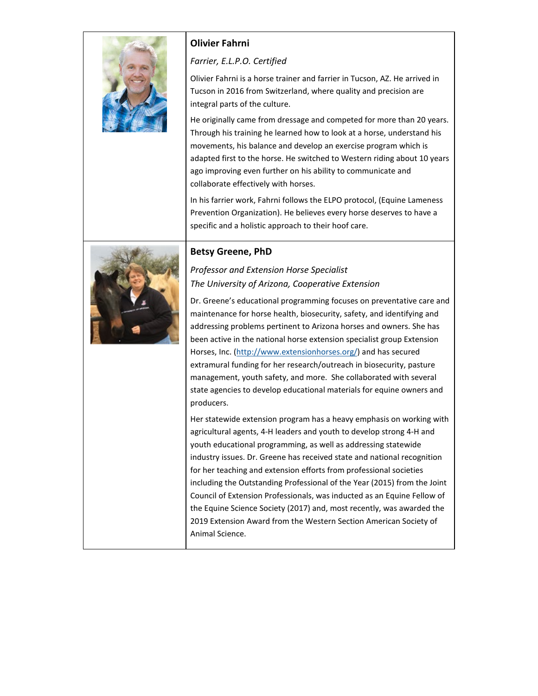

## **Olivier Fahrni**

*Farrier, E.L.P.O. Certified*

Olivier Fahrni is a horse trainer and farrier in Tucson, AZ. He arrived in Tucson in 2016 from Switzerland, where quality and precision are integral parts of the culture.

He originally came from dressage and competed for more than 20 years. Through his training he learned how to look at a horse, understand his movements, his balance and develop an exercise program which is adapted first to the horse. He switched to Western riding about 10 years ago improving even further on his ability to communicate and collaborate effectively with horses.

In his farrier work, Fahrni follows the ELPO protocol, (Equine Lameness Prevention Organization). He believes every horse deserves to have a specific and a holistic approach to their hoof care.



### **Betsy Greene, PhD**

# *Professor and Extension Horse Specialist The University of Arizona, Cooperative Extension*

Dr. Greene's educational programming focuses on preventative care and maintenance for horse health, biosecurity, safety, and identifying and addressing problems pertinent to Arizona horses and owners. She has been active in the national horse extension specialist group Extension Horses, Inc. [\(http://www.extensionhorses.org/\)](http://www.extensionhorses.org/) and has secured extramural funding for her research/outreach in biosecurity, pasture management, youth safety, and more. She collaborated with several state agencies to develop educational materials for equine owners and producers.

Her statewide extension program has a heavy emphasis on working with agricultural agents, 4-H leaders and youth to develop strong 4-H and youth educational programming, as well as addressing statewide industry issues. Dr. Greene has received state and national recognition for her teaching and extension efforts from professional societies including the Outstanding Professional of the Year (2015) from the Joint Council of Extension Professionals, was inducted as an Equine Fellow of the Equine Science Society (2017) and, most recently, was awarded the 2019 Extension Award from the Western Section American Society of Animal Science.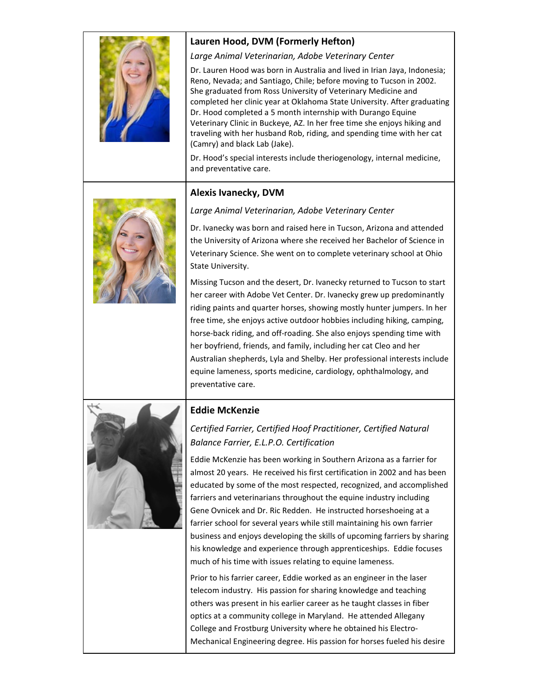

# **Lauren Hood, DVM (Formerly Hefton)**

*Large Animal Veterinarian, Adobe Veterinary Center*

Dr. Lauren Hood was born in Australia and lived in Irian Jaya, Indonesia; Reno, Nevada; and Santiago, Chile; before moving to Tucson in 2002. She graduated from Ross University of Veterinary Medicine and completed her clinic year at Oklahoma State University. After graduating Dr. Hood completed a 5 month internship with Durango Equine Veterinary Clinic in Buckeye, AZ. In her free time she enjoys hiking and traveling with her husband Rob, riding, and spending time with her cat (Camry) and black Lab (Jake).

Dr. Hood's special interests include theriogenology, internal medicine, and preventative care.

### **Alexis Ivanecky, DVM**





Dr. Ivanecky was born and raised here in Tucson, Arizona and attended the University of Arizona where she received her Bachelor of Science in Veterinary Science. She went on to complete veterinary school at Ohio State University.

Missing Tucson and the desert, Dr. Ivanecky returned to Tucson to start her career with Adobe Vet Center. Dr. Ivanecky grew up predominantly riding paints and quarter horses, showing mostly hunter jumpers. In her free time, she enjoys active outdoor hobbies including hiking, camping, horse-back riding, and off-roading. She also enjoys spending time with her boyfriend, friends, and family, including her cat Cleo and her Australian shepherds, Lyla and Shelby. Her professional interests include equine lameness, sports medicine, cardiology, ophthalmology, and preventative care.



# **Eddie McKenzie**

# *Certified Farrier, Certified Hoof Practitioner, Certified Natural Balance Farrier, E.L.P.O. Certification*

Eddie McKenzie has been working in Southern Arizona as a farrier for almost 20 years. He received his first certification in 2002 and has been educated by some of the most respected, recognized, and accomplished farriers and veterinarians throughout the equine industry including Gene Ovnicek and Dr. Ric Redden. He instructed horseshoeing at a farrier school for several years while still maintaining his own farrier business and enjoys developing the skills of upcoming farriers by sharing his knowledge and experience through apprenticeships. Eddie focuses much of his time with issues relating to equine lameness.

Prior to his farrier career, Eddie worked as an engineer in the laser telecom industry. His passion for sharing knowledge and teaching others was present in his earlier career as he taught classes in fiber optics at a community college in Maryland. He attended Allegany College and Frostburg University where he obtained his Electro-Mechanical Engineering degree. His passion for horses fueled his desire